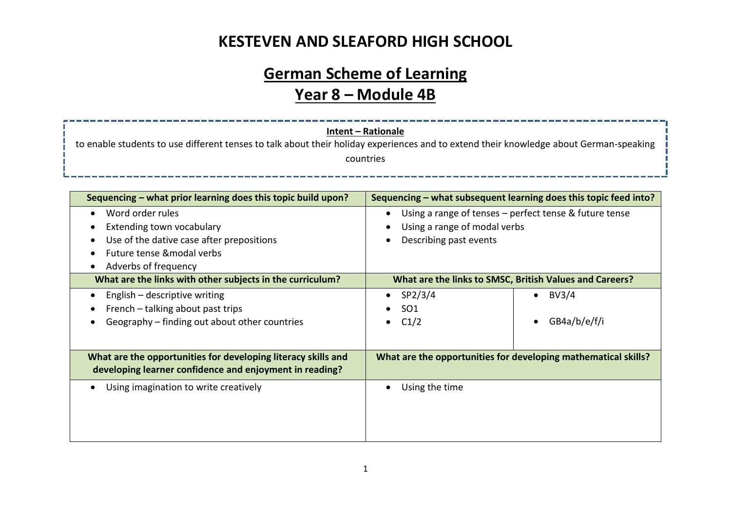# **KESTEVEN AND SLEAFORD HIGH SCHOOL**

# **German Scheme of Learning Year 8 – Module 4B**

| <b>Intent - Rationale</b><br>to enable students to use different tenses to talk about their holiday experiences and to extend their knowledge about German-speaking<br>countries                                              |                                                                                                                                                                                      |  |  |  |
|-------------------------------------------------------------------------------------------------------------------------------------------------------------------------------------------------------------------------------|--------------------------------------------------------------------------------------------------------------------------------------------------------------------------------------|--|--|--|
| Sequencing - what prior learning does this topic build upon?<br>Word order rules<br>$\bullet$<br>Extending town vocabulary<br>Use of the dative case after prepositions<br>Future tense & modal verbs<br>Adverbs of frequency | Sequencing - what subsequent learning does this topic feed into?<br>Using a range of tenses - perfect tense & future tense<br>Using a range of modal verbs<br>Describing past events |  |  |  |
| What are the links with other subjects in the curriculum?<br>English - descriptive writing<br>French - talking about past trips<br>Geography – finding out about other countries                                              | What are the links to SMSC, British Values and Careers?<br>SP2/3/4<br><b>BV3/4</b><br>SO <sub>1</sub><br>GB4a/b/e/f/i<br>C1/2                                                        |  |  |  |
| What are the opportunities for developing literacy skills and<br>developing learner confidence and enjoyment in reading?<br>Using imagination to write creatively<br>$\bullet$                                                | What are the opportunities for developing mathematical skills?<br>Using the time                                                                                                     |  |  |  |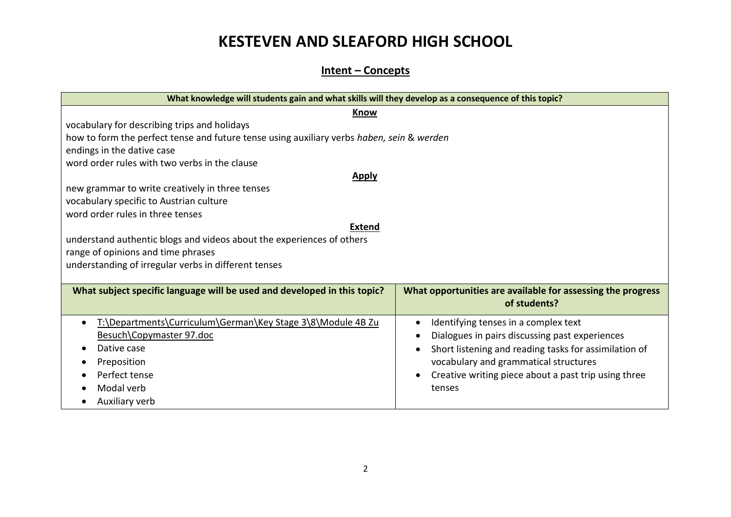# **KESTEVEN AND SLEAFORD HIGH SCHOOL**

#### **Intent – Concepts**

| What knowledge will students gain and what skills will they develop as a consequence of this topic? |                                                                             |  |  |  |
|-----------------------------------------------------------------------------------------------------|-----------------------------------------------------------------------------|--|--|--|
| <b>Know</b>                                                                                         |                                                                             |  |  |  |
| vocabulary for describing trips and holidays                                                        |                                                                             |  |  |  |
| how to form the perfect tense and future tense using auxiliary verbs haben, sein & werden           |                                                                             |  |  |  |
| endings in the dative case                                                                          |                                                                             |  |  |  |
| word order rules with two verbs in the clause                                                       |                                                                             |  |  |  |
| <b>Apply</b>                                                                                        |                                                                             |  |  |  |
| new grammar to write creatively in three tenses                                                     |                                                                             |  |  |  |
| vocabulary specific to Austrian culture                                                             |                                                                             |  |  |  |
| word order rules in three tenses                                                                    |                                                                             |  |  |  |
| <b>Extend</b>                                                                                       |                                                                             |  |  |  |
| understand authentic blogs and videos about the experiences of others                               |                                                                             |  |  |  |
| range of opinions and time phrases                                                                  |                                                                             |  |  |  |
| understanding of irregular verbs in different tenses                                                |                                                                             |  |  |  |
|                                                                                                     |                                                                             |  |  |  |
| What subject specific language will be used and developed in this topic?                            | What opportunities are available for assessing the progress<br>of students? |  |  |  |
| T:\Departments\Curriculum\German\Key Stage 3\8\Module 4B Zu                                         | Identifying tenses in a complex text                                        |  |  |  |
| Besuch\Copymaster 97.doc                                                                            | Dialogues in pairs discussing past experiences                              |  |  |  |
| Dative case                                                                                         | Short listening and reading tasks for assimilation of                       |  |  |  |
| Preposition                                                                                         | vocabulary and grammatical structures                                       |  |  |  |
| Perfect tense                                                                                       | Creative writing piece about a past trip using three                        |  |  |  |
| Modal verb                                                                                          | tenses                                                                      |  |  |  |
| Auxiliary verb                                                                                      |                                                                             |  |  |  |